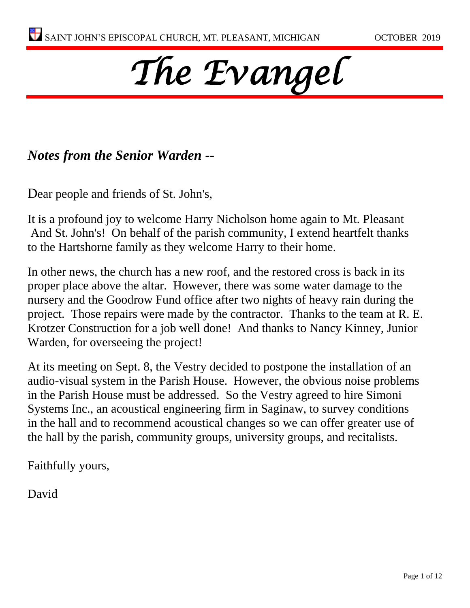# *The Evangel*

# *Notes from the Senior Warden --*

Dear people and friends of St. John's,

It is a profound joy to welcome Harry Nicholson home again to Mt. Pleasant And St. John's! On behalf of the parish community, I extend heartfelt thanks to the Hartshorne family as they welcome Harry to their home.

In other news, the church has a new roof, and the restored cross is back in its proper place above the altar. However, there was some water damage to the nursery and the Goodrow Fund office after two nights of heavy rain during the project. Those repairs were made by the contractor. Thanks to the team at R. E. Krotzer Construction for a job well done! And thanks to Nancy Kinney, Junior Warden, for overseeing the project!

At its meeting on Sept. 8, the Vestry decided to postpone the installation of an audio-visual system in the Parish House. However, the obvious noise problems in the Parish House must be addressed. So the Vestry agreed to hire Simoni Systems Inc., an acoustical engineering firm in Saginaw, to survey conditions in the hall and to recommend acoustical changes so we can offer greater use of the hall by the parish, community groups, university groups, and recitalists.

Faithfully yours,

David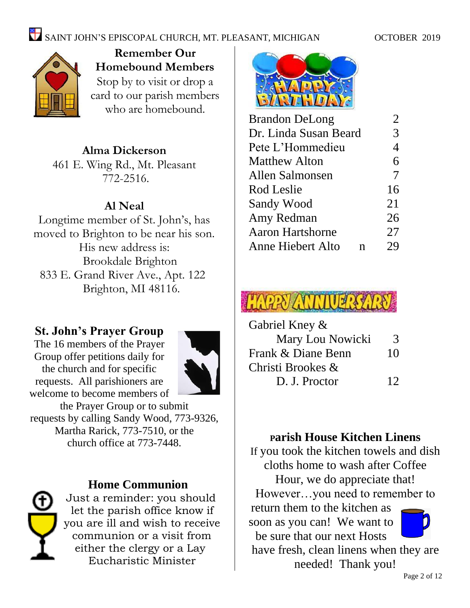

**Remember Our Homebound Members** Stop by to visit or drop a card to our parish members who are homebound.

## **Alma Dickerson**

461 E. Wing Rd., Mt. Pleasant 772-2516.

# **Al Neal**

Longtime member of St. John's, has moved to Brighton to be near his son. His new address is: Brookdale Brighton 833 E. Grand River Ave., Apt. 122 Brighton, MI 48116.

## **St. John's Prayer Group**

The 16 members of the Prayer Group offer petitions daily for the church and for specific requests. All parishioners are welcome to become members of



the Prayer Group or to submit requests by calling Sandy Wood, 773-9326, Martha Rarick, 773-7510, or the church office at 773-7448.



## **Home Communion**

Just a reminder: you should let the parish office know if you are ill and wish to receive communion or a visit from either the clergy or a Lay Eucharistic Minister



| <b>Brandon DeLong</b>   | $\overline{2}$ |
|-------------------------|----------------|
| Dr. Linda Susan Beard   | 3              |
| Pete L'Hommedieu        | 4              |
| <b>Matthew Alton</b>    | 6              |
| Allen Salmonsen         | 7              |
| Rod Leslie              | 16             |
| Sandy Wood              | 21             |
| Amy Redman              | 26             |
| <b>Aaron Hartshorne</b> | 27             |
| Anne Hiebert Alto<br>n  | 29             |
|                         |                |



| Gabriel Kney &     |    |
|--------------------|----|
| Mary Lou Nowicki   | 3  |
| Frank & Diane Benn | 10 |
| Christi Brookes &  |    |
| D. J. Proctor      | 12 |

# **<sup>P</sup>arish House Kitchen Linens**

If you took the kitchen towels and dish cloths home to wash after Coffee Hour, we do appreciate that! However…you need to remember to return them to the kitchen as soon as you can! We want to be sure that our next Hosts have fresh, clean linens when they are needed! Thank you!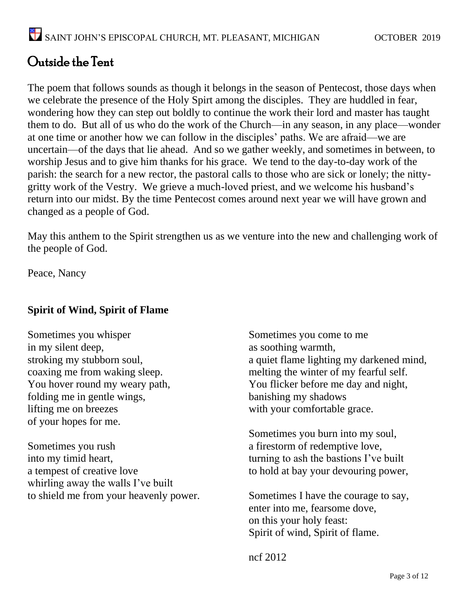# Outside the Tent

The poem that follows sounds as though it belongs in the season of Pentecost, those days when we celebrate the presence of the Holy Spirt among the disciples. They are huddled in fear, wondering how they can step out boldly to continue the work their lord and master has taught them to do. But all of us who do the work of the Church—in any season, in any place—wonder at one time or another how we can follow in the disciples' paths. We are afraid—we are uncertain—of the days that lie ahead. And so we gather weekly, and sometimes in between, to worship Jesus and to give him thanks for his grace. We tend to the day-to-day work of the parish: the search for a new rector, the pastoral calls to those who are sick or lonely; the nittygritty work of the Vestry. We grieve a much-loved priest, and we welcome his husband's return into our midst. By the time Pentecost comes around next year we will have grown and changed as a people of God.

May this anthem to the Spirit strengthen us as we venture into the new and challenging work of the people of God.

Peace, Nancy

#### **Spirit of Wind, Spirit of Flame**

Sometimes you whisper in my silent deep, stroking my stubborn soul, coaxing me from waking sleep. You hover round my weary path, folding me in gentle wings, lifting me on breezes of your hopes for me.

Sometimes you rush into my timid heart, a tempest of creative love whirling away the walls I've built to shield me from your heavenly power. Sometimes you come to me as soothing warmth, a quiet flame lighting my darkened mind, melting the winter of my fearful self. You flicker before me day and night, banishing my shadows with your comfortable grace.

Sometimes you burn into my soul, a firestorm of redemptive love, turning to ash the bastions I've built to hold at bay your devouring power,

Sometimes I have the courage to say, enter into me, fearsome dove, on this your holy feast: Spirit of wind, Spirit of flame.

ncf 2012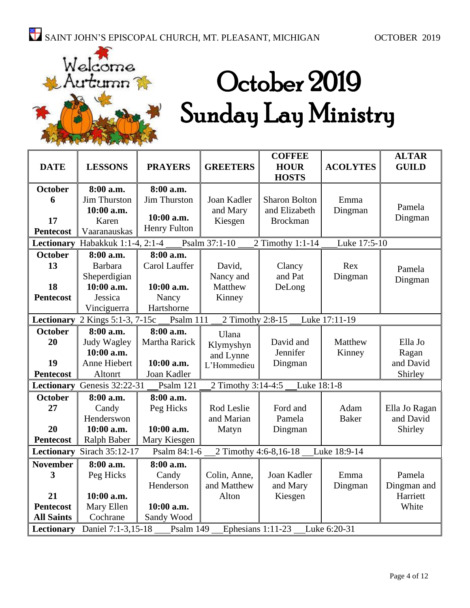

# October 2019 Sunday Lay Ministry

| <b>DATE</b>                                                                        | <b>LESSONS</b>                   | <b>PRAYERS</b>      | <b>GREETERS</b>       | <b>COFFEE</b><br><b>HOUR</b> | <b>ACOLYTES</b> | <b>ALTAR</b><br><b>GUILD</b> |
|------------------------------------------------------------------------------------|----------------------------------|---------------------|-----------------------|------------------------------|-----------------|------------------------------|
|                                                                                    |                                  |                     |                       | <b>HOSTS</b>                 |                 |                              |
| <b>October</b>                                                                     | 8:00 a.m.                        | 8:00 a.m.           |                       |                              |                 |                              |
| 6                                                                                  | Jim Thurston                     | <b>Jim Thurston</b> | Joan Kadler           | <b>Sharon Bolton</b>         | Emma            | Pamela                       |
|                                                                                    | 10:00 a.m.                       | 10:00 a.m.          | and Mary              | and Elizabeth                | Dingman         | Dingman                      |
| 17                                                                                 | Karen                            | <b>Henry Fulton</b> | Kiesgen               | <b>Brockman</b>              |                 |                              |
| <b>Pentecost</b>                                                                   | Vaaranauskas                     |                     |                       |                              |                 |                              |
|                                                                                    | Lectionary Habakkuk 1:1-4, 2:1-4 |                     | Psalm 37:1-10         | 2 Timothy 1:1-14             | Luke 17:5-10    |                              |
| <b>October</b>                                                                     | 8:00 a.m.                        | 8:00 a.m.           |                       |                              |                 |                              |
| 13                                                                                 | <b>Barbara</b>                   | Carol Lauffer       | David,                | Clancy                       | Rex             | Pamela                       |
|                                                                                    | Sheperdigian                     |                     | Nancy and             | and Pat                      | Dingman         | Dingman                      |
| 18                                                                                 | 10:00 a.m.                       | 10:00 a.m.          | Matthew               | DeLong                       |                 |                              |
| <b>Pentecost</b>                                                                   | Jessica                          | Nancy               | Kinney                |                              |                 |                              |
|                                                                                    | Vinciguerra                      | Hartshorne          |                       |                              |                 |                              |
| Lectionary                                                                         | 2 Kings 5:1-3, 7-15c             | Psalm 111           | 2 Timothy 2:8-15      |                              | Luke 17:11-19   |                              |
| <b>October</b>                                                                     | 8:00 a.m.                        | 8:00 a.m.           | Ulana                 |                              |                 |                              |
| 20                                                                                 | Judy Wagley                      | Martha Rarick       | Klymyshyn             | David and                    | Matthew         | Ella Jo                      |
|                                                                                    | 10:00 a.m.                       |                     | and Lynne             | Jennifer                     | Kinney          | Ragan                        |
| 19                                                                                 | Anne Hiebert                     | 10:00 a.m.          | L'Hommedieu           | Dingman                      |                 | and David                    |
| <b>Pentecost</b>                                                                   | Altonrt                          | Joan Kadler         |                       |                              |                 | Shirley                      |
| Lectionary                                                                         | Genesis 32:22-31                 | Psalm 121           | 2 Timothy 3:14-4:5    | Luke 18:1-8                  |                 |                              |
| <b>October</b>                                                                     | 8:00 a.m.                        | 8:00 a.m.           |                       |                              |                 |                              |
| 27                                                                                 | Candy                            | Peg Hicks           | Rod Leslie            | Ford and                     | Adam            | Ella Jo Ragan                |
|                                                                                    | Henderswon                       |                     | and Marian            | Pamela                       | <b>Baker</b>    | and David                    |
| 20                                                                                 | 10:00 a.m.                       | 10:00 a.m.          | Matyn                 | Dingman                      |                 | Shirley                      |
| <b>Pentecost</b>                                                                   | Ralph Baber                      | Mary Kiesgen        |                       |                              |                 |                              |
| Lectionary                                                                         | Sirach 35:12-17                  | Psalm 84:1-6        | 2 Timothy 4:6-8,16-18 |                              | Luke 18:9-14    |                              |
| <b>November</b>                                                                    | 8:00 a.m.                        | 8:00 a.m.           |                       |                              |                 |                              |
| 3                                                                                  | Peg Hicks                        | Candy               | Colin, Anne,          | Joan Kadler                  | Emma            | Pamela                       |
|                                                                                    |                                  | Henderson           | and Matthew           | and Mary                     | Dingman         | Dingman and                  |
| 21                                                                                 | 10:00 a.m.                       |                     | Alton                 | Kiesgen                      |                 | Harriett                     |
| <b>Pentecost</b>                                                                   | Mary Ellen                       | 10:00 a.m.          |                       |                              |                 | White                        |
| <b>All Saints</b>                                                                  | Cochrane                         | Sandy Wood          |                       |                              |                 |                              |
| Daniel 7:1-3,15-18<br>Lectionary<br>Psalm 149<br>Ephesians 1:11-23<br>Luke 6:20-31 |                                  |                     |                       |                              |                 |                              |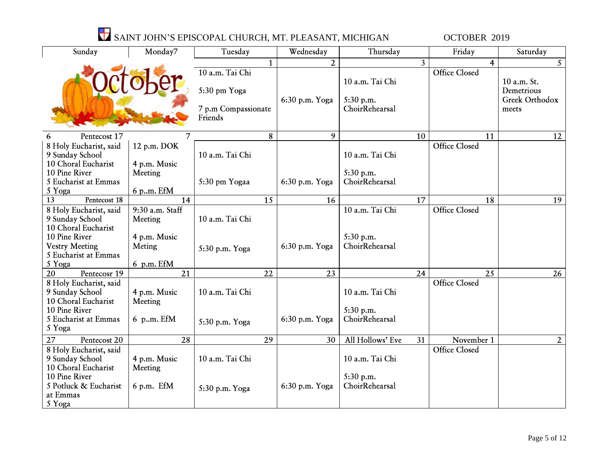| Sunday                                    | Monday7                 | Tuesday                                        |    | Wednesday      | Thursday                                       |                | Friday                             | Saturday                                             |
|-------------------------------------------|-------------------------|------------------------------------------------|----|----------------|------------------------------------------------|----------------|------------------------------------|------------------------------------------------------|
|                                           |                         |                                                |    | $\overline{2}$ |                                                | $\overline{3}$ | $\overline{\mathbf{4}}$            | 5 <sup>1</sup>                                       |
|                                           |                         | 10 a.m. Tai Chi                                |    |                |                                                |                | <b>Office Closed</b>               |                                                      |
|                                           |                         | 5:30 pm Yoga<br>7 p.m Compassionate<br>Friends |    | 6:30 p.m. Yoga | 10 a.m. Tai Chi<br>5:30 p.m.<br>ChoirRehearsal |                |                                    | 10 a.m. St.<br>Demetrious<br>Greek Orthodox<br>meets |
| Pentecost 17<br>6                         | 7                       |                                                | 8  | 9              |                                                | 10             | 11                                 | 12                                                   |
| 8 Holy Eucharist, said                    | 12 p.m. DOK             |                                                |    |                |                                                |                | <b>Office Closed</b>               |                                                      |
| 9 Sunday School                           |                         | 10 a.m. Tai Chi                                |    |                | 10 a.m. Tai Chi                                |                |                                    |                                                      |
| 10 Choral Eucharist                       | 4 p.m. Music            |                                                |    |                |                                                |                |                                    |                                                      |
| 10 Pine River                             | Meeting                 |                                                |    |                | 5:30 p.m.                                      |                |                                    |                                                      |
| 5 Eucharist at Emmas                      |                         | 5:30 pm Yogaa                                  |    | 6:30 p.m. Yoga | ChoirRehearsal                                 |                |                                    |                                                      |
| 5 Yoga                                    | 6 p.m. EfM              |                                                |    |                |                                                |                |                                    |                                                      |
| $\overline{13}$<br>Pentecost 18           | 14                      |                                                | 15 | 16             |                                                | 17             | 18                                 | 19                                                   |
| 8 Holy Eucharist, said                    | 9:30 a.m. Staff         |                                                |    |                | 10 a.m. Tai Chi                                |                | <b>Office Closed</b>               |                                                      |
| 9 Sunday School                           | Meeting                 | 10 a.m. Tai Chi                                |    |                |                                                |                |                                    |                                                      |
| 10 Choral Eucharist                       |                         |                                                |    |                |                                                |                |                                    |                                                      |
| 10 Pine River                             | 4 p.m. Music            |                                                |    |                | 5:30 p.m.                                      |                |                                    |                                                      |
| <b>Vestry Meeting</b>                     | Meting                  | 5:30 p.m. Yoga                                 |    | 6:30 p.m. Yoga | ChoirRehearsal                                 |                |                                    |                                                      |
| 5 Eucharist at Emmas                      |                         |                                                |    |                |                                                |                |                                    |                                                      |
| 5 Yoga                                    | 6 p.m. EfM              |                                                |    |                |                                                |                |                                    |                                                      |
| 20<br>Pentecosr 19                        | 21                      |                                                | 22 | 23             |                                                | 24             | 25                                 | 26                                                   |
| 8 Holy Eucharist, said                    |                         |                                                |    |                |                                                |                | <b>Office Closed</b>               |                                                      |
| 9 Sunday School<br>10 Choral Eucharist    | 4 p.m. Music            | 10 a.m. Tai Chi                                |    |                | 10 a.m. Tai Chi                                |                |                                    |                                                      |
| 10 Pine River                             | Meeting                 |                                                |    |                | 5:30 p.m.                                      |                |                                    |                                                      |
| 5 Eucharist at Emmas                      | 6 p.m. EfM              |                                                |    | 6:30 p.m. Yoga | ChoirRehearsal                                 |                |                                    |                                                      |
| 5 Yoga                                    |                         | 5:30 p.m. Yoga                                 |    |                |                                                |                |                                    |                                                      |
| 27                                        |                         |                                                | 29 | 30             |                                                |                |                                    |                                                      |
| Pentecost 20                              | 28                      |                                                |    |                | All Hollows' Eve                               | 31             | November 1<br><b>Office Closed</b> | $2^{\circ}$                                          |
| 8 Holy Eucharist, said<br>9 Sunday School |                         | 10 a.m. Tai Chi                                |    |                | 10 a.m. Tai Chi                                |                |                                    |                                                      |
| 10 Choral Eucharist                       | 4 p.m. Music<br>Meeting |                                                |    |                |                                                |                |                                    |                                                      |
| 10 Pine River                             |                         |                                                |    |                | 5:30 p.m.                                      |                |                                    |                                                      |
| 5 Potluck & Eucharist                     | 6 p.m. EfM              |                                                |    | 6:30 p.m. Yoga | ChoirRehearsal                                 |                |                                    |                                                      |
| at Emmas                                  |                         | 5:30 p.m. Yoga                                 |    |                |                                                |                |                                    |                                                      |
| 5 Yoga                                    |                         |                                                |    |                |                                                |                |                                    |                                                      |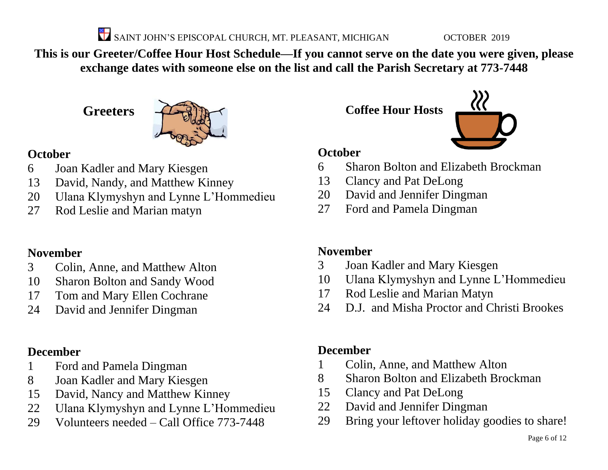**This is our Greeter/Coffee Hour Host Schedule—If you cannot serve on the date you were given, please exchange dates with someone else on the list and call the Parish Secretary at 773-7448**

**Greeters**



## **October**

- Joan Kadler and Mary Kiesgen
- David, Nandy, and Matthew Kinney
- Ulana Klymyshyn and Lynne L'Hommedieu
- Rod Leslie and Marian matyn

# **November**

- Colin, Anne, and Matthew Alton
- Sharon Bolton and Sandy Wood
- Tom and Mary Ellen Cochrane
- David and Jennifer Dingman

# **December**

- Ford and Pamela Dingman
- Joan Kadler and Mary Kiesgen
- David, Nancy and Matthew Kinney
- Ulana Klymyshyn and Lynne L'Hommedieu
- Volunteers needed Call Office 773-7448

**Coffee Hour Hosts**



## **October**

- Sharon Bolton and Elizabeth Brockman
- Clancy and Pat DeLong
- David and Jennifer Dingman
- Ford and Pamela Dingman

# **November**

- Joan Kadler and Mary Kiesgen
- Ulana Klymyshyn and Lynne L'Hommedieu
- Rod Leslie and Marian Matyn
- D.J. and Misha Proctor and Christi Brookes

# **December**

- Colin, Anne, and Matthew Alton
- Sharon Bolton and Elizabeth Brockman
- Clancy and Pat DeLong
- David and Jennifer Dingman
- Bring your leftover holiday goodies to share!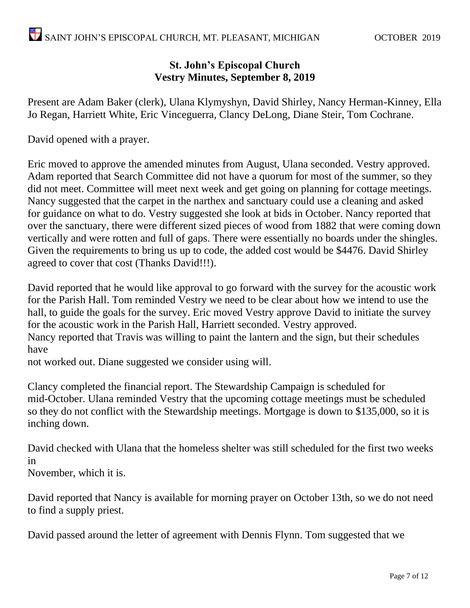#### **St. John's Episcopal Church Vestry Minutes, September 8, 2019**

Present are Adam Baker (clerk), Ulana Klymyshyn, David Shirley, Nancy Herman-Kinney, Ella Jo Regan, Harriett White, Eric Vinceguerra, Clancy DeLong, Diane Steir, Tom Cochrane.

David opened with a prayer.

Eric moved to approve the amended minutes from August, Ulana seconded. Vestry approved. Adam reported that Search Committee did not have a quorum for most of the summer, so they did not meet. Committee will meet next week and get going on planning for cottage meetings. Nancy suggested that the carpet in the narthex and sanctuary could use a cleaning and asked for guidance on what to do. Vestry suggested she look at bids in October. Nancy reported that over the sanctuary, there were different sized pieces of wood from 1882 that were coming down vertically and were rotten and full of gaps. There were essentially no boards under the shingles. Given the requirements to bring us up to code, the added cost would be \$4476. David Shirley agreed to cover that cost (Thanks David!!!).

David reported that he would like approval to go forward with the survey for the acoustic work for the Parish Hall. Tom reminded Vestry we need to be clear about how we intend to use the hall, to guide the goals for the survey. Eric moved Vestry approve David to initiate the survey for the acoustic work in the Parish Hall, Harriett seconded. Vestry approved. Nancy reported that Travis was willing to paint the lantern and the sign, but their schedules have

not worked out. Diane suggested we consider using will.

Clancy completed the financial report. The Stewardship Campaign is scheduled for mid-October. Ulana reminded Vestry that the upcoming cottage meetings must be scheduled so they do not conflict with the Stewardship meetings. Mortgage is down to \$135,000, so it is inching down.

David checked with Ulana that the homeless shelter was still scheduled for the first two weeks in

November, which it is.

David reported that Nancy is available for morning prayer on October 13th, so we do not need to find a supply priest.

David passed around the letter of agreement with Dennis Flynn. Tom suggested that we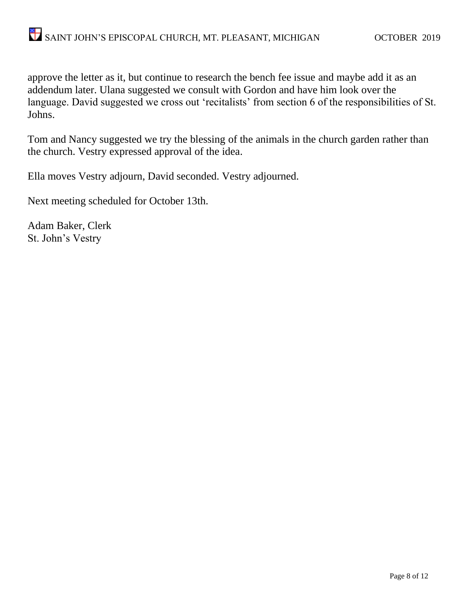approve the letter as it, but continue to research the bench fee issue and maybe add it as an addendum later. Ulana suggested we consult with Gordon and have him look over the language. David suggested we cross out 'recitalists' from section 6 of the responsibilities of St. Johns.

Tom and Nancy suggested we try the blessing of the animals in the church garden rather than the church. Vestry expressed approval of the idea.

Ella moves Vestry adjourn, David seconded. Vestry adjourned.

Next meeting scheduled for October 13th.

Adam Baker, Clerk St. John's Vestry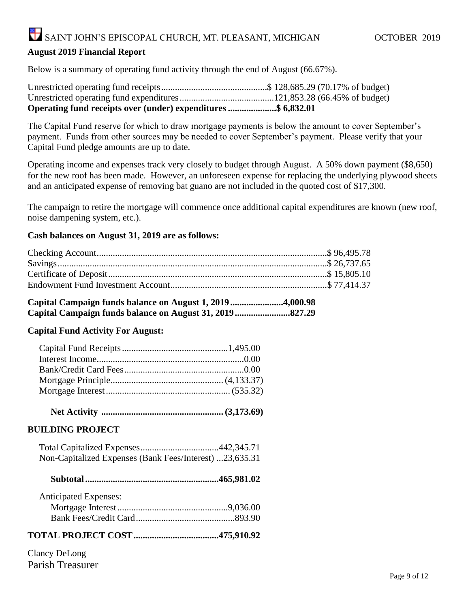#### **August 2019 Financial Report**

Below is a summary of operating fund activity through the end of August (66.67%).

| Operating fund receipts over (under) expenditures \$ 6,832.01 |  |
|---------------------------------------------------------------|--|

The Capital Fund reserve for which to draw mortgage payments is below the amount to cover September's payment. Funds from other sources may be needed to cover September's payment. Please verify that your Capital Fund pledge amounts are up to date.

Operating income and expenses track very closely to budget through August. A 50% down payment (\$8,650) for the new roof has been made. However, an unforeseen expense for replacing the underlying plywood sheets and an anticipated expense of removing bat guano are not included in the quoted cost of \$17,300.

The campaign to retire the mortgage will commence once additional capital expenditures are known (new roof, noise dampening system, etc.).

#### **Cash balances on August 31, 2019 are as follows:**

**Capital Campaign funds balance on August 1, 2019.......................4,000.98 Capital Campaign funds balance on August 31, 2019........................827.29**

#### **Capital Fund Activity For August:**

 **Net Activity ..................................................... (3,173.69)**

#### **BUILDING PROJECT**

 Total Capitalized Expenses..................................442,345.71 Non-Capitalized Expenses (Bank Fees/Interest) ...23,635.31

|--|--|--|--|--|

| <b>Anticipated Expenses:</b> |  |
|------------------------------|--|
|                              |  |
|                              |  |

#### **TOTAL PROJECT COST.....................................475,910.92**

Clancy DeLong Parish Treasurer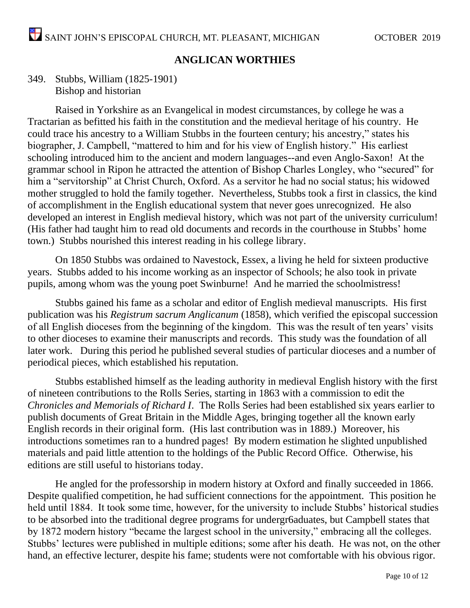#### **ANGLICAN WORTHIES**

#### 349. Stubbs, William (1825-1901) Bishop and historian

Raised in Yorkshire as an Evangelical in modest circumstances, by college he was a Tractarian as befitted his faith in the constitution and the medieval heritage of his country. He could trace his ancestry to a William Stubbs in the fourteen century; his ancestry," states his biographer, J. Campbell, "mattered to him and for his view of English history." His earliest schooling introduced him to the ancient and modern languages--and even Anglo-Saxon! At the grammar school in Ripon he attracted the attention of Bishop Charles Longley, who "secured" for him a "servitorship" at Christ Church, Oxford. As a servitor he had no social status; his widowed mother struggled to hold the family together. Nevertheless, Stubbs took a first in classics, the kind of accomplishment in the English educational system that never goes unrecognized. He also developed an interest in English medieval history, which was not part of the university curriculum! (His father had taught him to read old documents and records in the courthouse in Stubbs' home town.) Stubbs nourished this interest reading in his college library.

On 1850 Stubbs was ordained to Navestock, Essex, a living he held for sixteen productive years. Stubbs added to his income working as an inspector of Schools; he also took in private pupils, among whom was the young poet Swinburne! And he married the schoolmistress!

Stubbs gained his fame as a scholar and editor of English medieval manuscripts. His first publication was his *Registrum sacrum Anglicanum* (1858), which verified the episcopal succession of all English dioceses from the beginning of the kingdom. This was the result of ten years' visits to other dioceses to examine their manuscripts and records. This study was the foundation of all later work. During this period he published several studies of particular dioceses and a number of periodical pieces, which established his reputation.

Stubbs established himself as the leading authority in medieval English history with the first of nineteen contributions to the Rolls Series, starting in 1863 with a commission to edit the *Chronicles and Memorials of Richard I*. The Rolls Series had been established six years earlier to publish documents of Great Britain in the Middle Ages, bringing together all the known early English records in their original form. (His last contribution was in 1889.) Moreover, his introductions sometimes ran to a hundred pages! By modern estimation he slighted unpublished materials and paid little attention to the holdings of the Public Record Office. Otherwise, his editions are still useful to historians today.

He angled for the professorship in modern history at Oxford and finally succeeded in 1866. Despite qualified competition, he had sufficient connections for the appointment. This position he held until 1884. It took some time, however, for the university to include Stubbs' historical studies to be absorbed into the traditional degree programs for undergr6aduates, but Campbell states that by 1872 modern history "became the largest school in the university," embracing all the colleges. Stubbs' lectures were published in multiple editions; some after his death. He was not, on the other hand, an effective lecturer, despite his fame; students were not comfortable with his obvious rigor.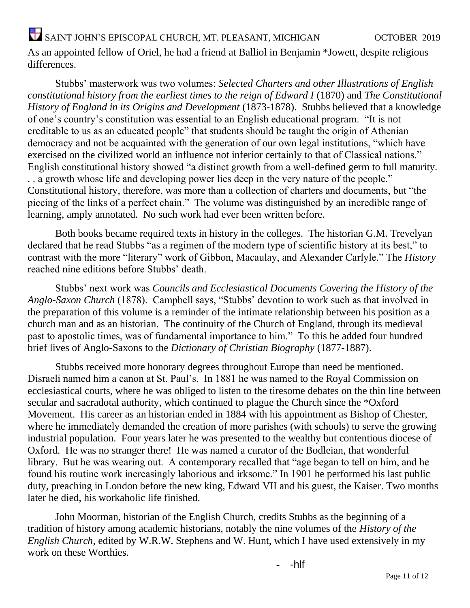As an appointed fellow of Oriel, he had a friend at Balliol in Benjamin \*Jowett, despite religious differences.

Stubbs' masterwork was two volumes: *Selected Charters and other Illustrations of English constitutional history from the earliest times to the reign of Edward I* (1870) and *The Constitutional History of England in its Origins and Development* (1873-1878). Stubbs believed that a knowledge of one's country's constitution was essential to an English educational program. "It is not creditable to us as an educated people" that students should be taught the origin of Athenian democracy and not be acquainted with the generation of our own legal institutions, "which have exercised on the civilized world an influence not inferior certainly to that of Classical nations." English constitutional history showed "a distinct growth from a well-defined germ to full maturity. . . a growth whose life and developing power lies deep in the very nature of the people." Constitutional history, therefore, was more than a collection of charters and documents, but "the piecing of the links of a perfect chain." The volume was distinguished by an incredible range of learning, amply annotated. No such work had ever been written before.

Both books became required texts in history in the colleges. The historian G.M. Trevelyan declared that he read Stubbs "as a regimen of the modern type of scientific history at its best," to contrast with the more "literary" work of Gibbon, Macaulay, and Alexander Carlyle." The *History* reached nine editions before Stubbs' death.

Stubbs' next work was *Councils and Ecclesiastical Documents Covering the History of the Anglo-Saxon Church* (1878). Campbell says, "Stubbs' devotion to work such as that involved in the preparation of this volume is a reminder of the intimate relationship between his position as a church man and as an historian. The continuity of the Church of England, through its medieval past to apostolic times, was of fundamental importance to him." To this he added four hundred brief lives of Anglo-Saxons to the *Dictionary of Christian Biography* (1877-1887).

Stubbs received more honorary degrees throughout Europe than need be mentioned. Disraeli named him a canon at St. Paul's. In 1881 he was named to the Royal Commission on ecclesiastical courts, where he was obliged to listen to the tiresome debates on the thin line between secular and sacradotal authority, which continued to plague the Church since the \*Oxford Movement. His career as an historian ended in 1884 with his appointment as Bishop of Chester, where he immediately demanded the creation of more parishes (with schools) to serve the growing industrial population. Four years later he was presented to the wealthy but contentious diocese of Oxford. He was no stranger there! He was named a curator of the Bodleian, that wonderful library. But he was wearing out. A contemporary recalled that "age began to tell on him, and he found his routine work increasingly laborious and irksome." In 1901 he performed his last public duty, preaching in London before the new king, Edward VII and his guest, the Kaiser. Two months later he died, his workaholic life finished.

John Moorman, historian of the English Church, credits Stubbs as the beginning of a tradition of history among academic historians, notably the nine volumes of the *History of the English Church*, edited by W.R.W. Stephens and W. Hunt, which I have used extensively in my work on these Worthies.